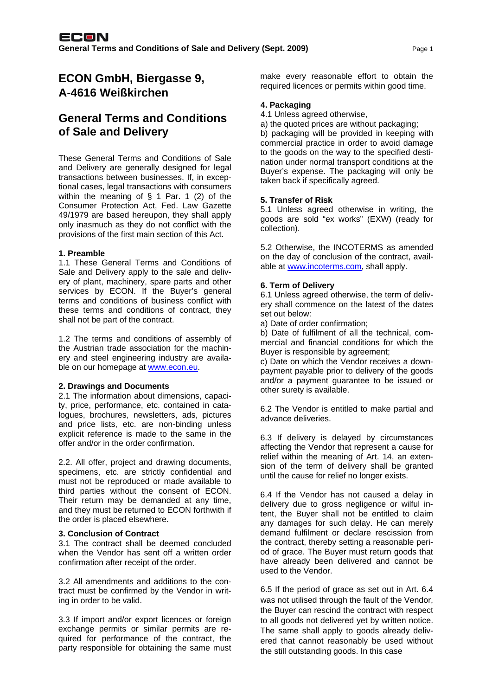# **ECON GmbH, Biergasse 9, A-4616 Weißkirchen**

# **General Terms and Conditions of Sale and Delivery**

These General Terms and Conditions of Sale and Delivery are generally designed for legal transactions between businesses. If, in exceptional cases, legal transactions with consumers within the meaning of § 1 Par. 1 (2) of the Consumer Protection Act, Fed. Law Gazette 49/1979 are based hereupon, they shall apply only inasmuch as they do not conflict with the provisions of the first main section of this Act.

## **1. Preamble**

1.1 These General Terms and Conditions of Sale and Delivery apply to the sale and delivery of plant, machinery, spare parts and other services by ECON. If the Buyer's general terms and conditions of business conflict with these terms and conditions of contract, they shall not be part of the contract.

1.2 The terms and conditions of assembly of the Austrian trade association for the machinery and steel engineering industry are available on our homepage at www.econ.eu.

#### **2. Drawings and Documents**

2.1 The information about dimensions, capacity, price, performance, etc. contained in catalogues, brochures, newsletters, ads, pictures and price lists, etc. are non-binding unless explicit reference is made to the same in the offer and/or in the order confirmation.

2.2. All offer, project and drawing documents, specimens, etc. are strictly confidential and must not be reproduced or made available to third parties without the consent of ECON. Their return may be demanded at any time, and they must be returned to ECON forthwith if the order is placed elsewhere.

#### **3. Conclusion of Contract**

3.1 The contract shall be deemed concluded when the Vendor has sent off a written order confirmation after receipt of the order.

3.2 All amendments and additions to the contract must be confirmed by the Vendor in writing in order to be valid.

3.3 If import and/or export licences or foreign exchange permits or similar permits are required for performance of the contract, the party responsible for obtaining the same must make every reasonable effort to obtain the required licences or permits within good time.

# **4. Packaging**

4.1 Unless agreed otherwise,

a) the quoted prices are without packaging;

b) packaging will be provided in keeping with commercial practice in order to avoid damage to the goods on the way to the specified destination under normal transport conditions at the Buyer's expense. The packaging will only be taken back if specifically agreed.

## **5. Transfer of Risk**

5.1 Unless agreed otherwise in writing, the goods are sold "ex works" (EXW) (ready for collection).

5.2 Otherwise, the INCOTERMS as amended on the day of conclusion of the contract, available at www.incoterms.com, shall apply.

## **6. Term of Delivery**

6.1 Unless agreed otherwise, the term of delivery shall commence on the latest of the dates set out below:

a) Date of order confirmation;

b) Date of fulfilment of all the technical, commercial and financial conditions for which the Buyer is responsible by agreement;

c) Date on which the Vendor receives a downpayment payable prior to delivery of the goods and/or a payment guarantee to be issued or other surety is available.

6.2 The Vendor is entitled to make partial and advance deliveries.

6.3 If delivery is delayed by circumstances affecting the Vendor that represent a cause for relief within the meaning of Art. 14, an extension of the term of delivery shall be granted until the cause for relief no longer exists.

6.4 If the Vendor has not caused a delay in delivery due to gross negligence or wilful intent, the Buyer shall not be entitled to claim any damages for such delay. He can merely demand fulfilment or declare rescission from the contract, thereby setting a reasonable period of grace. The Buyer must return goods that have already been delivered and cannot be used to the Vendor.

6.5 If the period of grace as set out in Art. 6.4 was not utilised through the fault of the Vendor, the Buyer can rescind the contract with respect to all goods not delivered yet by written notice. The same shall apply to goods already delivered that cannot reasonably be used without the still outstanding goods. In this case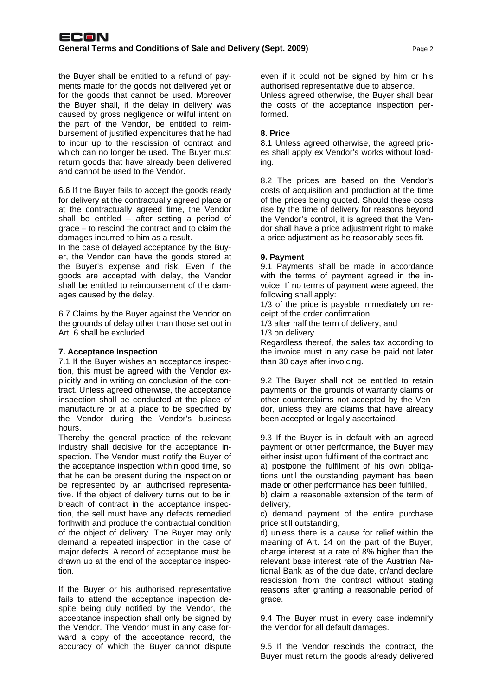the Buyer shall be entitled to a refund of payments made for the goods not delivered yet or for the goods that cannot be used. Moreover the Buyer shall, if the delay in delivery was caused by gross negligence or wilful intent on the part of the Vendor, be entitled to reimbursement of justified expenditures that he had to incur up to the rescission of contract and which can no longer be used. The Buyer must return goods that have already been delivered and cannot be used to the Vendor.

6.6 If the Buyer fails to accept the goods ready for delivery at the contractually agreed place or at the contractually agreed time, the Vendor shall be entitled – after setting a period of grace – to rescind the contract and to claim the damages incurred to him as a result.

In the case of delayed acceptance by the Buyer, the Vendor can have the goods stored at the Buyer's expense and risk. Even if the goods are accepted with delay, the Vendor shall be entitled to reimbursement of the damages caused by the delay.

6.7 Claims by the Buyer against the Vendor on the grounds of delay other than those set out in Art. 6 shall be excluded.

#### **7. Acceptance Inspection**

7.1 If the Buyer wishes an acceptance inspection, this must be agreed with the Vendor explicitly and in writing on conclusion of the contract. Unless agreed otherwise, the acceptance inspection shall be conducted at the place of manufacture or at a place to be specified by the Vendor during the Vendor's business hours.

Thereby the general practice of the relevant industry shall decisive for the acceptance inspection. The Vendor must notify the Buyer of the acceptance inspection within good time, so that he can be present during the inspection or be represented by an authorised representative. If the object of delivery turns out to be in breach of contract in the acceptance inspection, the sell must have any defects remedied forthwith and produce the contractual condition of the object of delivery. The Buyer may only demand a repeated inspection in the case of major defects. A record of acceptance must be drawn up at the end of the acceptance inspection.

If the Buyer or his authorised representative fails to attend the acceptance inspection despite being duly notified by the Vendor, the acceptance inspection shall only be signed by the Vendor. The Vendor must in any case forward a copy of the acceptance record, the accuracy of which the Buyer cannot dispute

even if it could not be signed by him or his authorised representative due to absence. Unless agreed otherwise, the Buyer shall bear the costs of the acceptance inspection performed.

# **8. Price**

8.1 Unless agreed otherwise, the agreed prices shall apply ex Vendor's works without loading.

8.2 The prices are based on the Vendor's costs of acquisition and production at the time of the prices being quoted. Should these costs rise by the time of delivery for reasons beyond the Vendor's control, it is agreed that the Vendor shall have a price adjustment right to make a price adjustment as he reasonably sees fit.

## **9. Payment**

9.1 Payments shall be made in accordance with the terms of payment agreed in the invoice. If no terms of payment were agreed, the following shall apply:

1/3 of the price is payable immediately on receipt of the order confirmation,

1/3 after half the term of delivery, and

1/3 on delivery.

Regardless thereof, the sales tax according to the invoice must in any case be paid not later than 30 days after invoicing.

9.2 The Buyer shall not be entitled to retain payments on the grounds of warranty claims or other counterclaims not accepted by the Vendor, unless they are claims that have already been accepted or legally ascertained.

9.3 If the Buyer is in default with an agreed payment or other performance, the Buyer may either insist upon fulfilment of the contract and a) postpone the fulfilment of his own obligations until the outstanding payment has been made or other performance has been fulfilled,

b) claim a reasonable extension of the term of delivery,

c) demand payment of the entire purchase price still outstanding,

d) unless there is a cause for relief within the meaning of Art. 14 on the part of the Buyer, charge interest at a rate of 8% higher than the relevant base interest rate of the Austrian National Bank as of the due date, or/and declare rescission from the contract without stating reasons after granting a reasonable period of grace.

9.4 The Buyer must in every case indemnify the Vendor for all default damages.

9.5 If the Vendor rescinds the contract, the Buyer must return the goods already delivered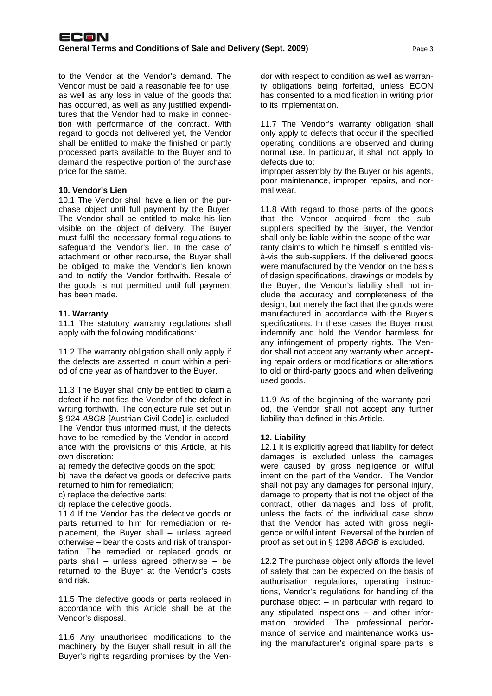to the Vendor at the Vendor's demand. The Vendor must be paid a reasonable fee for use, as well as any loss in value of the goods that has occurred, as well as any justified expenditures that the Vendor had to make in connection with performance of the contract. With regard to goods not delivered yet, the Vendor shall be entitled to make the finished or partly processed parts available to the Buyer and to demand the respective portion of the purchase price for the same.

#### **10. Vendor's Lien**

10.1 The Vendor shall have a lien on the purchase object until full payment by the Buyer. The Vendor shall be entitled to make his lien visible on the object of delivery. The Buyer must fulfil the necessary formal regulations to safeguard the Vendor's lien. In the case of attachment or other recourse, the Buyer shall be obliged to make the Vendor's lien known and to notify the Vendor forthwith. Resale of the goods is not permitted until full payment has been made.

#### **11. Warranty**

11.1 The statutory warranty regulations shall apply with the following modifications:

11.2 The warranty obligation shall only apply if the defects are asserted in court within a period of one year as of handover to the Buyer.

11.3 The Buyer shall only be entitled to claim a defect if he notifies the Vendor of the defect in writing forthwith. The conjecture rule set out in § 924 *ABGB* [Austrian Civil Code] is excluded. The Vendor thus informed must, if the defects have to be remedied by the Vendor in accordance with the provisions of this Article, at his own discretion:

a) remedy the defective goods on the spot;

b) have the defective goods or defective parts returned to him for remediation;

c) replace the defective parts;

d) replace the defective goods.

11.4 If the Vendor has the defective goods or parts returned to him for remediation or replacement, the Buyer shall – unless agreed otherwise – bear the costs and risk of transportation. The remedied or replaced goods or parts shall – unless agreed otherwise – be returned to the Buyer at the Vendor's costs and risk.

11.5 The defective goods or parts replaced in accordance with this Article shall be at the Vendor's disposal.

11.6 Any unauthorised modifications to the machinery by the Buyer shall result in all the Buyer's rights regarding promises by the Vendor with respect to condition as well as warranty obligations being forfeited, unless ECON has consented to a modification in writing prior to its implementation.

11.7 The Vendor's warranty obligation shall only apply to defects that occur if the specified operating conditions are observed and during normal use. In particular, it shall not apply to defects due to:

improper assembly by the Buyer or his agents, poor maintenance, improper repairs, and normal wear.

11.8 With regard to those parts of the goods that the Vendor acquired from the subsuppliers specified by the Buyer, the Vendor shall only be liable within the scope of the warranty claims to which he himself is entitled visà-vis the sub-suppliers. If the delivered goods were manufactured by the Vendor on the basis of design specifications, drawings or models by the Buyer, the Vendor's liability shall not include the accuracy and completeness of the design, but merely the fact that the goods were manufactured in accordance with the Buyer's specifications. In these cases the Buyer must indemnify and hold the Vendor harmless for any infringement of property rights. The Vendor shall not accept any warranty when accepting repair orders or modifications or alterations to old or third-party goods and when delivering used goods.

11.9 As of the beginning of the warranty period, the Vendor shall not accept any further liability than defined in this Article.

#### **12. Liability**

12.1 It is explicitly agreed that liability for defect damages is excluded unless the damages were caused by gross negligence or wilful intent on the part of the Vendor. The Vendor shall not pay any damages for personal injury, damage to property that is not the object of the contract, other damages and loss of profit, unless the facts of the individual case show that the Vendor has acted with gross negligence or wilful intent. Reversal of the burden of proof as set out in § 1298 *ABGB* is excluded.

12.2 The purchase object only affords the level of safety that can be expected on the basis of authorisation regulations, operating instructions, Vendor's regulations for handling of the purchase object – in particular with regard to any stipulated inspections – and other information provided. The professional performance of service and maintenance works using the manufacturer's original spare parts is